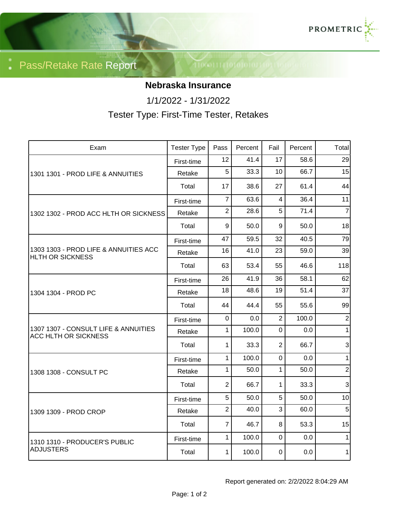

Pass/Retake Rate Report

## **Nebraska Insurance**

1/1/2022 - 1/31/2022

Tester Type: First-Time Tester, Retakes

| Exam                                                                | <b>Tester Type</b> | Pass           | Percent | Fail           | Percent | Total          |
|---------------------------------------------------------------------|--------------------|----------------|---------|----------------|---------|----------------|
| 1301 1301 - PROD LIFE & ANNUITIES                                   | First-time         | 12             | 41.4    | 17             | 58.6    | 29             |
|                                                                     | Retake             | 5              | 33.3    | 10             | 66.7    | 15             |
|                                                                     | Total              | 17             | 38.6    | 27             | 61.4    | 44             |
| 1302 1302 - PROD ACC HLTH OR SICKNESS                               | First-time         | $\overline{7}$ | 63.6    | 4              | 36.4    | 11             |
|                                                                     | Retake             | $\overline{2}$ | 28.6    | 5              | 71.4    | $\overline{7}$ |
|                                                                     | Total              | 9              | 50.0    | 9              | 50.0    | 18             |
| 1303 1303 - PROD LIFE & ANNUITIES ACC<br><b>HLTH OR SICKNESS</b>    | First-time         | 47             | 59.5    | 32             | 40.5    | 79             |
|                                                                     | Retake             | 16             | 41.0    | 23             | 59.0    | 39             |
|                                                                     | Total              | 63             | 53.4    | 55             | 46.6    | 118            |
| 1304 1304 - PROD PC                                                 | First-time         | 26             | 41.9    | 36             | 58.1    | 62             |
|                                                                     | Retake             | 18             | 48.6    | 19             | 51.4    | 37             |
|                                                                     | Total              | 44             | 44.4    | 55             | 55.6    | 99             |
| 1307 1307 - CONSULT LIFE & ANNUITIES<br><b>ACC HLTH OR SICKNESS</b> | First-time         | $\mathbf 0$    | 0.0     | $\overline{2}$ | 100.0   | $\overline{2}$ |
|                                                                     | Retake             | 1              | 100.0   | $\mathbf 0$    | 0.0     | 1              |
|                                                                     | Total              | 1              | 33.3    | $\overline{2}$ | 66.7    | $\overline{3}$ |
| 1308 1308 - CONSULT PC                                              | First-time         | 1              | 100.0   | $\mathbf 0$    | 0.0     | $\mathbf{1}$   |
|                                                                     | Retake             | 1              | 50.0    | 1              | 50.0    | $\overline{2}$ |
|                                                                     | Total              | $\overline{2}$ | 66.7    | 1              | 33.3    | 3              |
| 1309 1309 - PROD CROP                                               | First-time         | 5              | 50.0    | 5              | 50.0    | 10             |
|                                                                     | Retake             | $\overline{2}$ | 40.0    | 3              | 60.0    | $\overline{5}$ |
|                                                                     | Total              | 7              | 46.7    | 8              | 53.3    | 15             |
| 1310 1310 - PRODUCER'S PUBLIC<br>ADJUSTERS                          | First-time         | $\mathbf{1}$   | 100.0   | $\mathbf 0$    | 0.0     | 1              |
|                                                                     | Total              | 1              | 100.0   | $\mathbf 0$    | 0.0     | $\mathbf{1}$   |